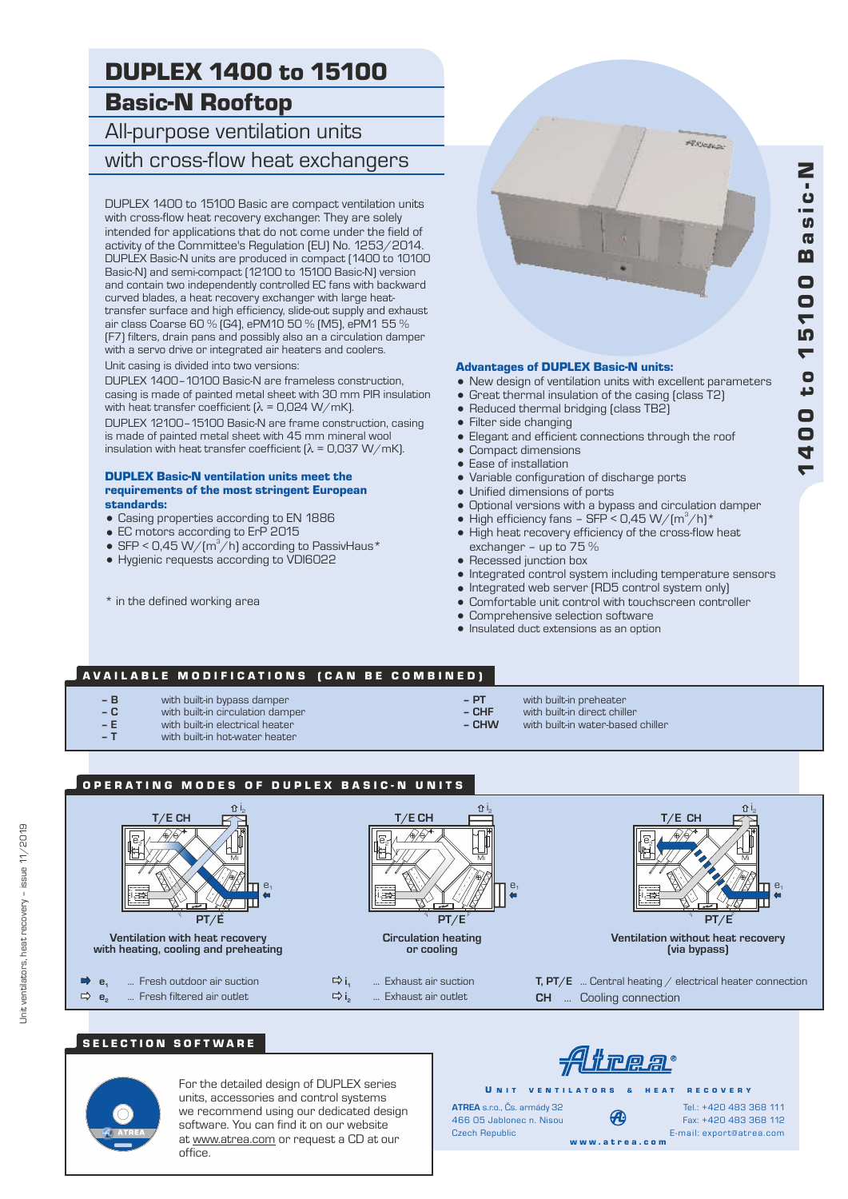# DUPLEX 1400 to 15100

# Basic-N Rooftop

All-purpose ventilation units with cross-flow heat exchangers

DUPLEX 1400 to 15100 Basic are compact ventilation units with cross-flow heat recovery exchanger. They are solely intended for applications that do not come under the field of activity of the Committee's Regulation (EU) No. 1253/2014. DUPLEX Basic-N units are produced in compact (1400 to 10100 Basic-N) and semi-compact (12100 to 15100 Basic-N) version and contain two independently controlled EC fans with backward curved blades, a heat recovery exchanger with large heattransfer surface and high efficiency, slide-out supply and exhaust air class Coarse 60 % (G4), ePM10 50 % (M5), ePM1 55 % (F7) filters, drain pans and possibly also an a circulation damper with a servo drive or integrated air heaters and coolers. Unit casing is divided into two versions:

DUPLEX 1400–10100 Basic-N are frameless construction, casing is made of painted metal sheet with 30 mm PIR insulation with heat transfer coefficient  $\lambda$  = 0,024 W/mK).

DUPLEX 12100–15100 Basic-N are frame construction, casing is made of painted metal sheet with 45 mm mineral wool insulation with heat transfer coefficient  $\lambda$  = 0,037 W/mK).

#### DUPLEX Basic-N ventilation units meet the requirements of the most stringent European standards:

- = Casing properties according to EN 1886
- EC motors according to ErP 2015
- SFP < 0,45 W/ $(m^3/h)$  according to PassivHaus\*
- = Hygienic requests according to VDI6022
- \* in the defined working area



#### Advantages of DUPLEX Basic-N units:

- New design of ventilation units with excellent parameters
- Great thermal insulation of the casing (class T2)
- Reduced thermal bridging (class TB2)
- Filter side changing
- Elegant and efficient connections through the roof
- Compact dimensions
- Ease of installation
- Variable configuration of discharge ports
- Unified dimensions of ports
- Optional versions with a bypass and circulation damper
- High efficiency fans SFP < 0,45 W/ $(m^3/h)^*$
- High heat recovery efficiency of the cross-flow heat exchanger – up to 75 %
- Recessed junction box
- = Integrated control system including temperature sensors
- Integrated web server (RD5 control system only)
- = Comfortable unit control with touchscreen controller
- Comprehensive selection software
- = Insulated duct extensions as an option

## AVAILABLE MODIFICATIONS (CAN BE COMBINED)

- **B** with built-in bypass damper<br> **C** with built-in circulation dam
- **C** with built-in circulation damper
- with built-in electrical heater
- **T** with built-in hot-water heater
- **PT** with built-in preheater<br> **CHF** with built-in direct chill
	-
	-
- 
- 
- **CHF** with built-in direct chiller<br> **CHW** with built-in water-based
	- with built-in water-based chiller
- OPERATING MODES OF DUPLEX BASIC-N UNITS





 $\blacktriangledown$ 4

0 0

t o

 $\overline{ }$ 5 $\blacktriangledown$ 

0 0

 $\ddot{\mathbf{m}}$ G

s i c - N

**Ventilation without heat recovery (via bypass)**

**T, PT/E** ... Central heating / electrical heater connection **CH** ... Cooling connection

# SELECTION SOFTWARE



For the detailed design of DUPLEX series units, accessories and control systems we recommend using our dedicated design software. You can find it on our website at www.atrea.com or request a CD at our office.

Alirea"

**ATREA** s.r.o., Čs. armády 32 U N IT VENTILATORS & HEAT RECOVERY w w w . a t r e a . c o m Czech Republic 466 05 Jablonec n. Nisou

Fax: +420 483 368 112 E-mail: export@atrea.com Tel.: +420 483 368 111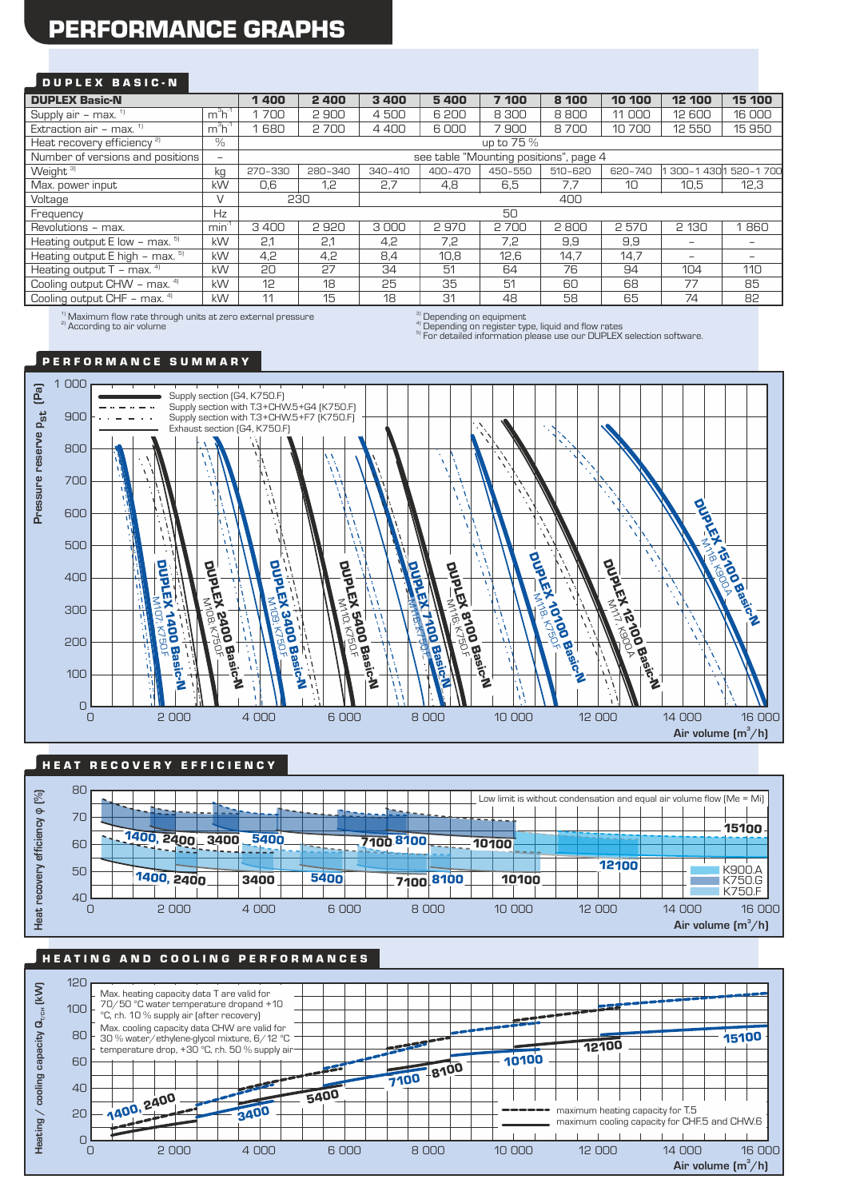# PERFORMANCE GRAPHS

## DUPLEX BASIC-N

| <b>DUPLEX Basic-N</b>                          |                          | 1400                                   | 2400    | 3 4 0 0     | 5400    | 7 100   | 8 100       | 10 100  | 12 100                   | 15 100             |
|------------------------------------------------|--------------------------|----------------------------------------|---------|-------------|---------|---------|-------------|---------|--------------------------|--------------------|
| Supply air - max. $1$                          | $m3h-1$                  | 1700                                   | 2900    | 4500        | 6 200   | 8300    | 8800        | 11 000  | 12 600                   | 16 000             |
| Extraction air - max. $1$                      | $m^3h^1$                 | 680                                    | 2700    | 4400        | 6000    | 7900    | 8700        | 10700   | 12 550                   | 15950              |
| Heat recovery efficiency <sup>2)</sup>         | $\%$                     | up to 75 %                             |         |             |         |         |             |         |                          |                    |
| Number of versions and positions               | $\overline{\phantom{0}}$ | see table "Mounting positions", page 4 |         |             |         |         |             |         |                          |                    |
| Weight <sup>3)</sup>                           | kg                       | 270-330                                | 280-340 | $340 - 410$ | 400-470 | 450-550 | $510 - 620$ | 620-740 |                          | 300-1430 1520-1700 |
| Max. power input                               | kW                       | 0.6                                    | 1,2     | 2,7         | 4,8     | 6,5     | 7.7         | 10      | 10,5                     | 12,3               |
| Voltage                                        | V                        | 230                                    |         |             |         |         | 400         |         |                          |                    |
| Frequency                                      | Hz                       |                                        |         |             |         | 50      |             |         |                          |                    |
| Revolutions - max.                             | min <sup>1</sup>         | 3400                                   | 2920    | 3000        | 2970    | 2700    | 2800        | 2570    | 2 1 3 0                  | 860                |
| Heating output $E$ low – max. $5$              | kW                       | 2.1                                    | 2.1     | 4.2         | 7.2     | 7.2     | 9.9         | 9.9     | $\overline{\phantom{0}}$ |                    |
| Heating output $E$ high – max. $5$             | kW                       | 4.2                                    | 4.2     | 8.4         | 10.8    | 12.6    | 14.7        | 14.7    | $\overline{\phantom{0}}$ | $\qquad \qquad -$  |
| Heating output $T - \text{max.}$ <sup>4)</sup> | kW                       | 20                                     | 27      | 34          | 51      | 64      | 76          | 94      | 104                      | 110                |
| Cooling output CHW - max. 4)                   | kW                       | 12                                     | 18      | 25          | 35      | 51      | 60          | 68      | 77                       | 85                 |
| Cooling output CHF - max. 4)                   | kW                       | 11                                     | 15      | 18          | 31      | 48      | 58          | 65      | 74                       | 82                 |

 $\sqrt{1}$  Maximum flow rate through units at zero external pressure <sup>2)</sup> According to air volume

<sup>1</sup> Depending on equipment

<sup>4)</sup> Depending on register type, liquid and flow rates<br><sup>5)</sup> For detailed information please use our DUPLEX selection software.

#### P E R F O R M A N C E S U M M A R Y



### HE AT RECOVERY EFFICIENCY



# HE A TING AND COOLING PERFORMANCES

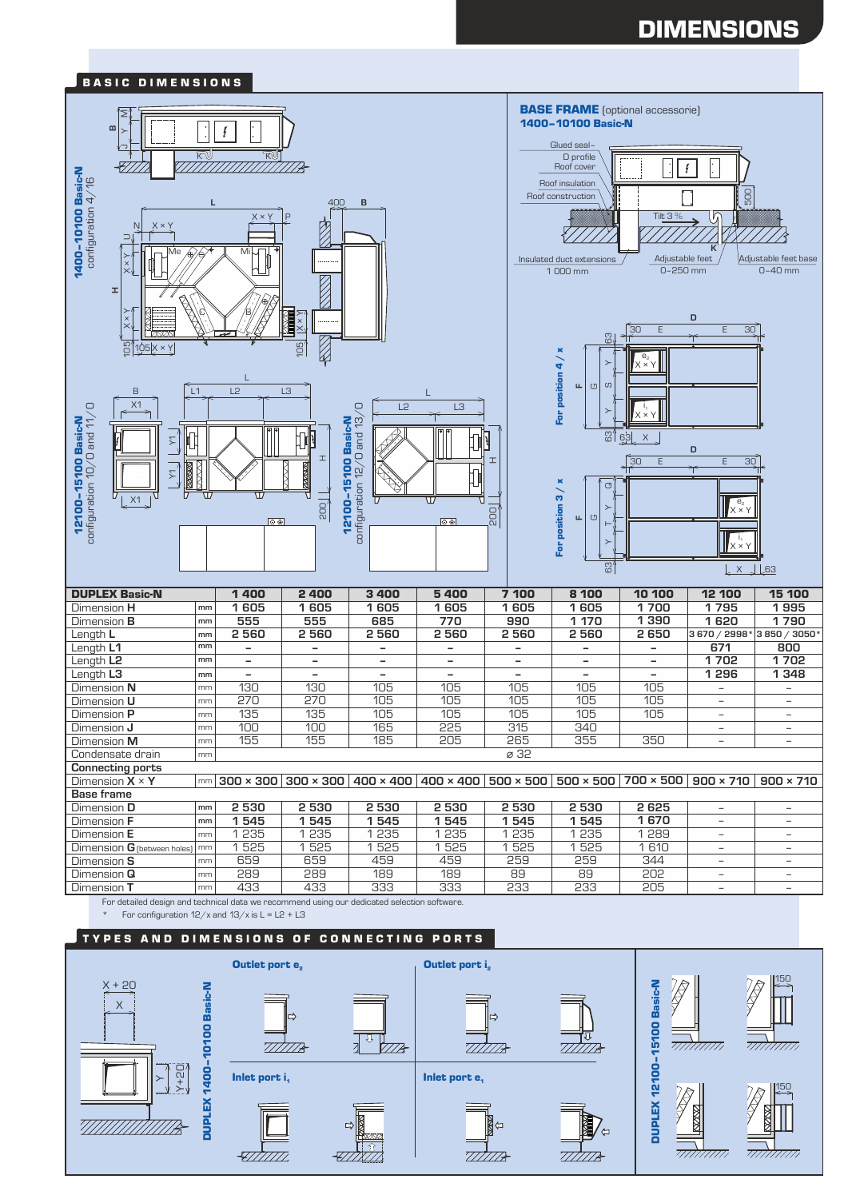# DIMENSIONS



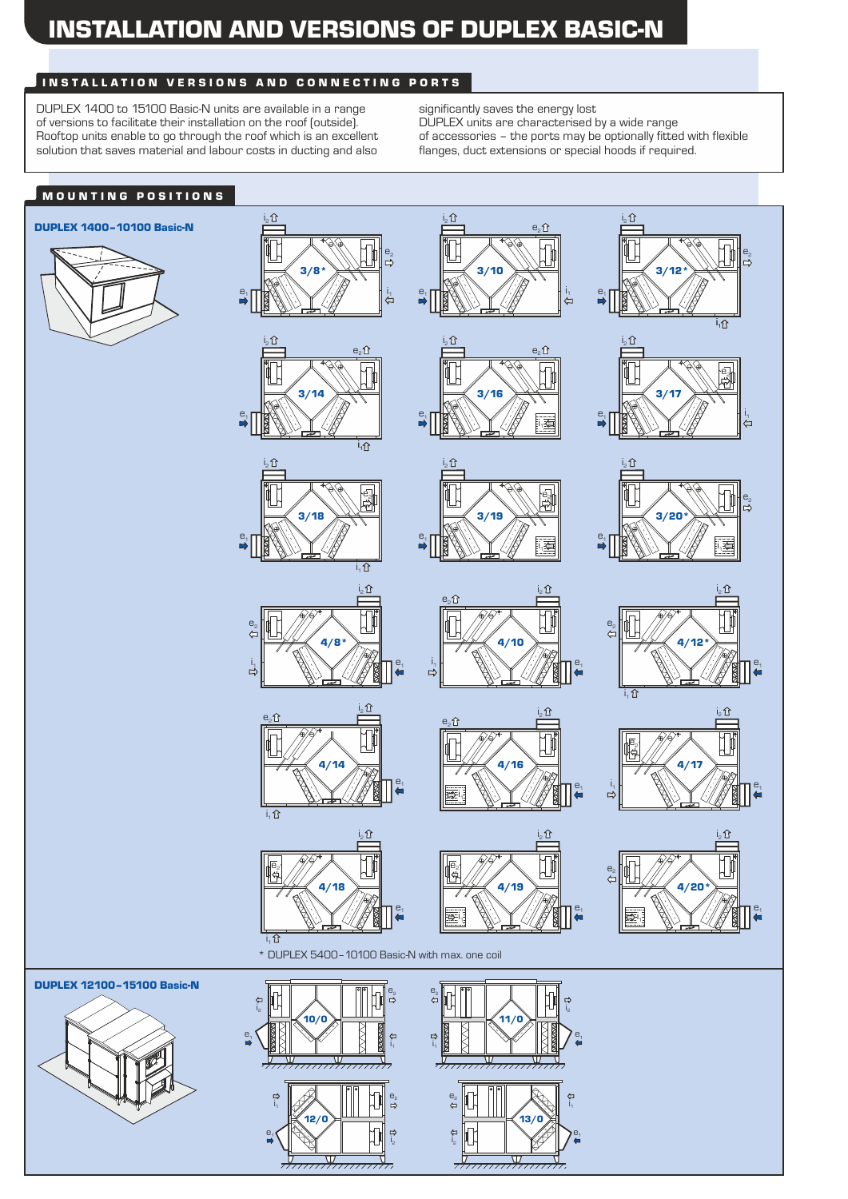# INSTALLATION VERSIONS AND CONNECTING PORTS

DUPLEX 1400 to 15100 Basic-N units are available in a range of versions to facilitate their installation on the roof (outside). Rooftop units enable to go through the roof which is an excellent solution that saves material and labour costs in ducting and also

significantly saves the energy lost DUPLEX units are characterised by a wide range of accessories – the ports may be optionally fitted with flexible flanges, duct extensions or special hoods if required.

# MOUNTING POSITIONS

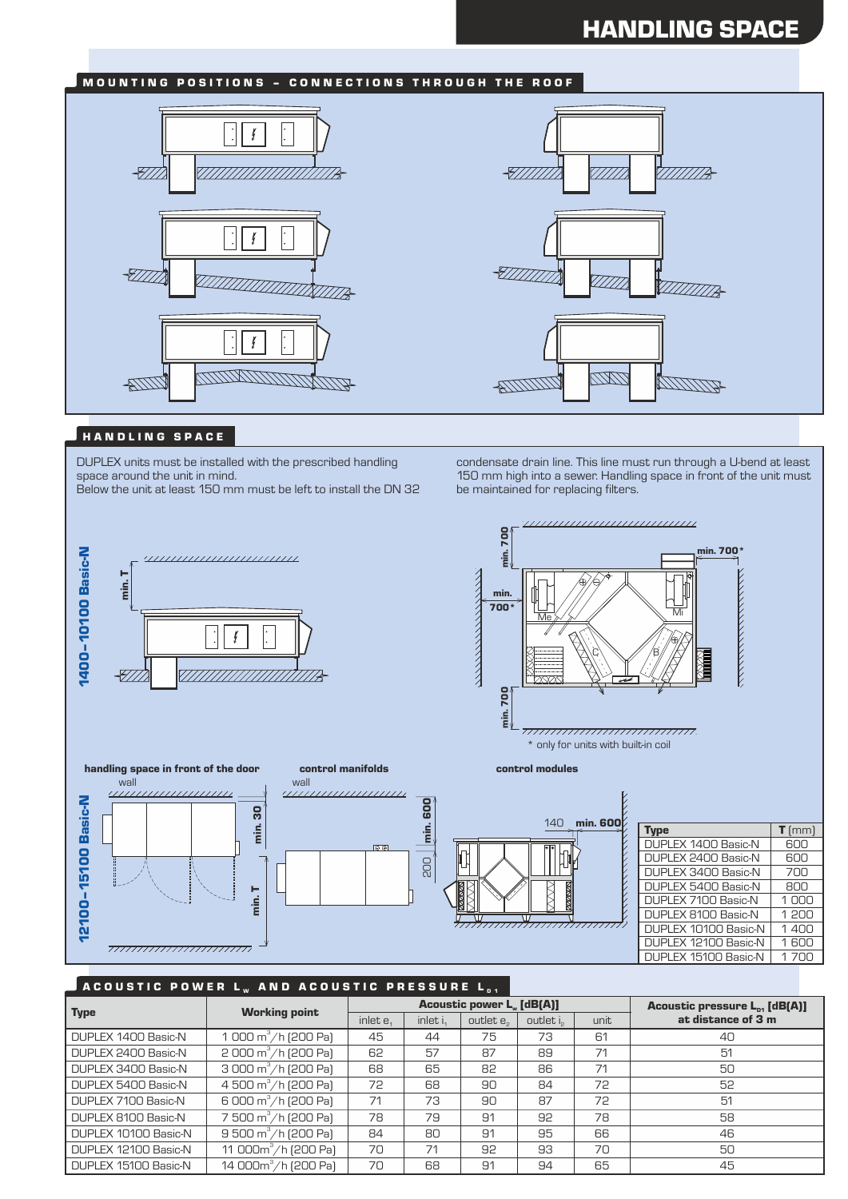# HANDLING SPACE

# MOUNTING POSITIONS - CONNECTIONS THROUGH THE ROOF





### HANDLING SPACE

DUPLEX units must be installed with the prescribed handling space around the unit in mind.

Below the unit at least 150 mm must be left to install the DN 32



condensate drain line. This line must run through a U-bend at least 150 mm high into a sewer. Handling space in front of the unit must be maintained for replacing filters.





|                      | <b>Working point</b>                      | <b>Acoustic power L. [dB(A)]</b> |          |                       |           |      | <b>Acoustic pressure <math>L_{p1}</math> [dB(A)]</b> |  |
|----------------------|-------------------------------------------|----------------------------------|----------|-----------------------|-----------|------|------------------------------------------------------|--|
| Type                 |                                           | inlet e.                         | inlet i. | outlet e <sub>2</sub> | outlet is | unit | at distance of 3 m                                   |  |
| DUPLEX 1400 Basic-N  | $1000 \text{ m}^3/\text{h}$ [200 Pa]      | 45                               | 44       | 75                    | 73        | 61   | 40                                                   |  |
| DUPLEX 2400 Basic-N  | $2000 \,\mathrm{m}^3/\mathrm{h}$ (200 Pa) | 62                               | 57       | 87                    | 89        | 71   | 51                                                   |  |
| DUPLEX 3400 Basic-N  | $3000 \text{ m}^3/\text{h}$ (200 Pa)      | 68                               | 65       | 82                    | 86        | 71   | 50                                                   |  |
| DUPLEX 5400 Basic-N  | $4500 \text{ m}^3/\text{h}$ (200 Pa)      | 72                               | 68       | 90                    | 84        | 72   | 52                                                   |  |
| DUPLEX 7100 Basic-N  | 6 000 $\text{m}^3/\text{h}$ (200 Pa)      | 71                               | 73       | 90                    | 87        | 72   | 51                                                   |  |
| DUPLEX 8100 Basic-N  | 7 500 m <sup>3</sup> /h (200 Pa)          | 78                               | 79       | .91                   | 92        | 78   | 58                                                   |  |
| DUPLEX 10100 Basic-N | $9500 \text{ m}^3/\text{h}$ (200 Pa)      | 84                               | 80       | 91                    | 95        | 66   | 46                                                   |  |
| DUPLEX 12100 Basic-N | 11 000m <sup>3</sup> /h (200 Pa)          | 70                               | 71       | 92                    | 93        | 70   | 50                                                   |  |
| DUPLEX 15100 Basic-N | 14 000m <sup>3</sup> /h (200 Pa)          | 70                               | 68       | 91                    | 94        | 65   | 45                                                   |  |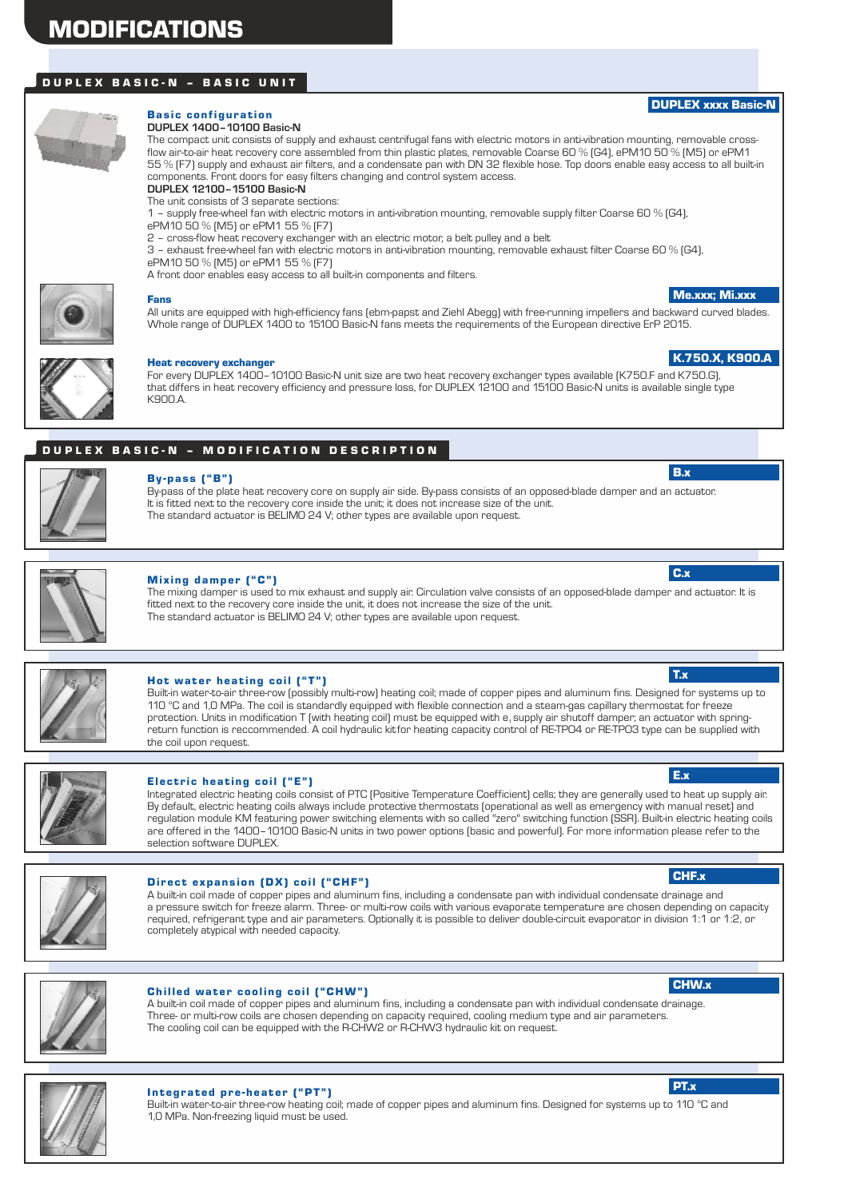# DUPLEX BASIC-N - BASIC UNIT



#### **Basic configuration DUPLEX 1400–10100 Basic-N**

The compact unit consists of supply and exhaust centrifugal fans with electric motors in anti-vibration mounting, removable crossflow air-to-air heat recovery core assembled from thin plastic plates, removable Coarse 60 % (G4), ePM10 50 % (M5) or ePM1 55 % (F7) supply and exhaust air filters, and a condensate pan with DN 32 flexible hose. Top doors enable easy access to all built-in components. Front doors for easy filters changing and control system access.

**DUPLEX 12100–15100 Basic-N**

The unit consists of 3 separate sections:

1 – supply free-wheel fan with electric motors in anti-vibration mounting, removable supply filter Coarse 60 % (G4), ePM10 50 % (M5) or ePM1 55 % (F7)

2 – cross-flow heat recovery exchanger with an electric motor, a belt pulley and a belt

3 – exhaust free-wheel fan with electric motors in anti-vibration mounting, removable exhaust filter Coarse 60 % (G4), ePM10 50 % (M5) or ePM1 55 % (F7)

A front door enables easy access to all built-in components and filters.



#### Fans

All units are equipped with high-efficiency fans (ebm-papst and Ziehl Abegg) with free-running impellers and backward curved blades. Whole range of DUPLEX 1400 to 15100 Basic-N fans meets the requirements of the European directive ErP 2015.



#### Heat recovery exchanger

For every DUPLEX 1400–10100 Basic-N unit size are two heat recovery exchanger types available (K750.F and K750.G), that differs in heat recovery efficiency and pressure loss, for DUPLEX 12100 and 15100 Basic-N units is available single type K900.A.

# DUPLEX BASIC-N - MODIFICATION DESCRIPTION



# By -pass ( "B" )

By-pass of the plate heat recovery core on supply air side. By-pass consists of an opposed-blade damper and an actuator. It is fitted next to the recovery core inside the unit; it does not increase size of the unit. The standard actuator is BELIMO 24 V; other types are available upon request.



#### Mixing damper ("C")

The mixing damper is used to mix exhaust and supply air. Circulation valve consists of an opposed-blade damper and actuator. It is fitted next to the recovery core inside the unit, it does not increase the size of the unit. The standard actuator is BELIMO 24 V; other types are available upon request.



### Hot water heating coil ("T")

Built-in water-to-air three-row (possibly multi-row) heating coil; made of copper pipes and aluminum fins. Designed for systems up to 110 °C and 1,0 MPa. The coil is standardly equipped with flexible connection and a steam-gas capillary thermostat for freeze protection. Units in modification T (with heating coil) must be equipped with  $e_i$  supply air shutoff damper; an actuator with springreturn function is reccommended. A coil hydraulic kitfor heating capacity control of RE-TPO4 or RE-TPO3 type can be supplied with the coil upon request.



### Electric heating coil ("E")

Integrated electric heating coils consist of PTC (Positive Temperature Coefficient) cells; they are generally used to heat up supply air. By default, electric heating coils always include protective thermostats (operational as well as emergency with manual reset) and regulation module KM featuring power switching elements with so called "zero" switching function (SSR). Built-in electric heating coils are offered in the 1400–10100 Basic-N units in two power options (basic and powerful). For more information please refer to the selection software DUPLEX.



#### Direct expansion (DX) coil ("CHF")

A built-in coil made of copper pipes and aluminum fins, including a condensate pan with individual condensate drainage and a pressure switch for freeze alarm. Three- or multi-row coils with various evaporate temperature are chosen depending on capacity required, refrigerant type and air parameters. Optionally it is possible to deliver double-circuit evaporator in division 1:1 or 1:2, or completely atypical with needed capacity.



#### Chilled water cooling coil ("CHW")

A built-in coil made of copper pipes and aluminum fins, including a condensate pan with individual condensate drainage. Three- or multi-row coils are chosen depending on capacity required, cooling medium type and air parameters. The cooling coil can be equipped with the R-CHW2 or R-CHW3 hydraulic kit on request.



#### Integrated pre-heater ("PT")



Built-in water-to-air three-row heating coil; made of copper pipes and aluminum fins. Designed for systems up to 110 °C and 1,0 MPa. Non-freezing liquid must be used.

#### Me.xxx; Mi.xxx

DUPLEX xxxx Basic-N

K.750.X, K900.A

B.x

C.x

T.x



CHF.x

CHW.x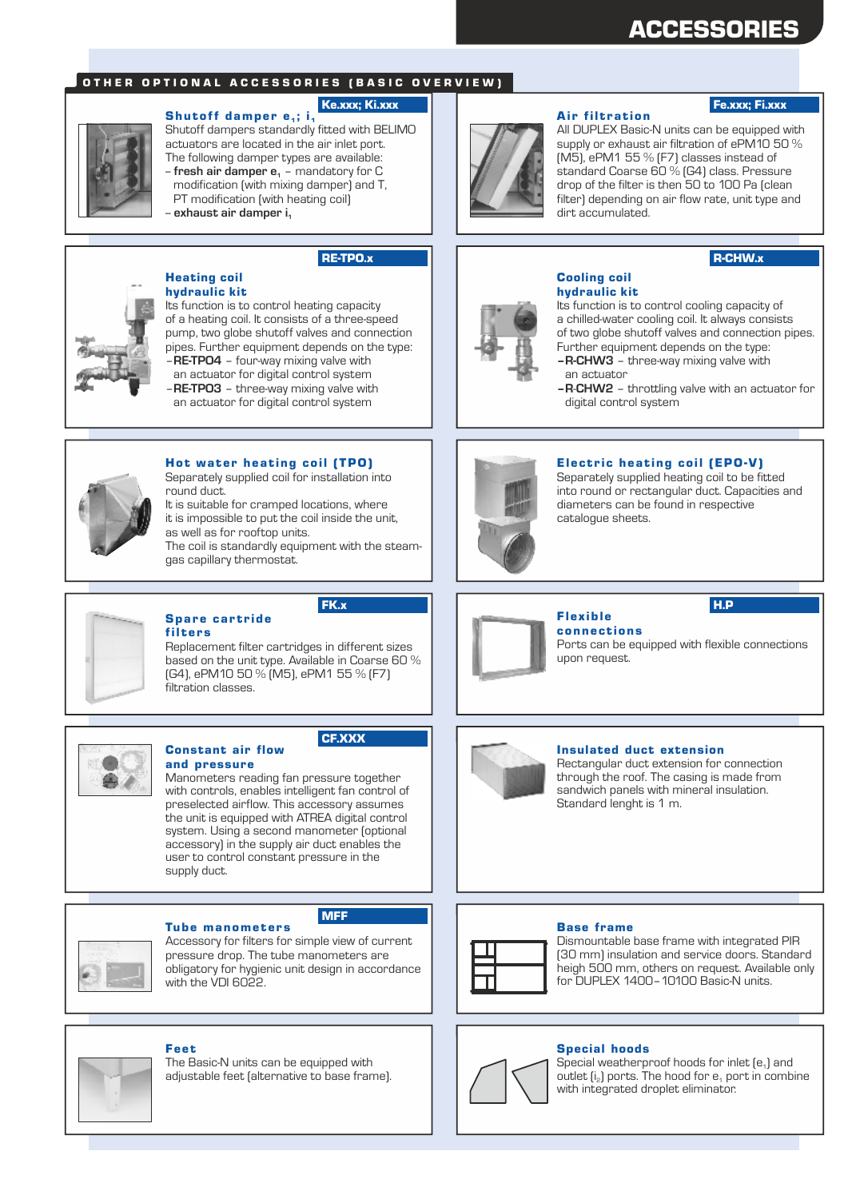# ACCESSORIES

## OTHER OPTIONAL ACCESSORIES (BASIC OVERVIEW)

#### Ke.xxx; Ki.xxx

Shutoff damper  $e_1$ ; i<sub>1</sub> Shutoff dampers standardly fitted with BELIMO actuators are located in the air inlet port. The following damper types are available: -- **fresh air damper e** – mandatory for C **<sup>1</sup>** modification (with mixing damper) and T, PT modification (with heating coil)

-- **exhaust air damper i<sup>1</sup>**

# RE-TPO.x



#### Heating coil hydraulic kit

Its function is to control heating capacity of a heating coil. It consists of a three-speed pump, two globe shutoff valves and connection pipes. Further equipment depends on the type: –**RE-TPO4** – four-way mixing valve with an actuator for digital control system

–**RE-TPO3** – three-way mixing valve with an actuator for digital control system



#### Hot water heating coil (TPO)

Separately supplied coil for installation into round duct.

It is suitable for cramped locations, where it is impossible to put the coil inside the unit, as well as for rooftop units. The coil is standardly equipment with the steamgas capillary thermostat.

#### Spare cartride filters

Constant air flow

Replacement filter cartridges in different sizes based on the unit type. Available in Coarse 60 % (G4), ePM10 50 % (M5), ePM1 55 % (F7) filtration classes.



#### CF.XXX

and pressure Manometers reading fan pressure together with controls, enables intelligent fan control of preselected airflow. This accessory assumes the unit is equipped with ATREA digital control system. Using a second manometer (optional accessory) in the supply air duct enables the user to control constant pressure in the supply duct.



#### **Tube manometers**

Accessory for filters for simple view of current pressure drop. The tube manometers are obligatory for hygienic unit design in accordance with the VDI 6022

MFF



### Fee t

The Basic-N units can be equipped with adjustable feet (alternative to base frame).



#### **Air filtration**

# Fe.xxx; Fi.xxx

All DUPLEX Basic-N units can be equipped with supply or exhaust air filtration of ePM10 50 % (M5), ePM1 55 % (F7) classes instead of standard Coarse 60 % (G4) class. Pressure drop of the filter is then 50 to 100 Pa (clean filter) depending on air flow rate, unit type and dirt accumulated.

### R-CHW.x



#### Cooling coil hydraulic kit

Its function is to control cooling capacity of a chilled-water cooling coil. It always consists of two globe shutoff valves and connection pipes. Further equipment depends on the type: **–R-CHW3** – three-way mixing valve with

- an actuator
- **–R**-**CHW2** throttling valve with an actuator for digital control system



#### Electric heating coil (EPO-V)

Separately supplied heating coil to be fitted into round or rectangular duct. Capacities and diameters can be found in respective catalogue sheets.



**connections** Ports can be equipped with flexible connections upon request.



#### Insulated duct extension

Rectangular duct extension for connection through the roof. The casing is made from sandwich panels with mineral insulation. Standard lenght is 1 m.

#### Base frame



Dismountable base frame with integrated PIR (30 mm) insulation and service doors. Standard heigh 500 mm, others on request. Available only for DUPLEX 1400–10100 Basic-N units.

#### Special hoods



Special weatherproof hoods for inlet  $[e_1]$  and outlet  $[i_2]$  ports. The hood for  $e_1$  port in combine with integrated droplet eliminator.